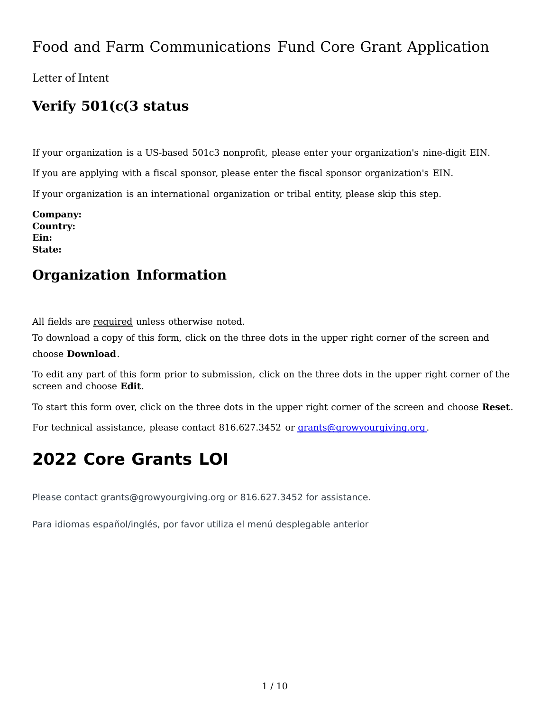## Food and Farm Communications Fund Core Grant Application

Letter of Intent

## **Verify 501(c(3 status**

If your organization is a US-based 501c3 nonprofit, please enter your organization's nine-digit EIN. If you are applying with a fiscal sponsor, please enter the fiscal sponsor organization's EIN. If your organization is an international organization or tribal entity, please skip this step.

**Company: Country: Ein: State:**

## **Organization Information**

All fields are required unless otherwise noted.

To download a copy of this form, click on the three dots in the upper right corner of the screen and choose **Download**. 

To edit any part of this form prior to submission, click on the three dots in the upper right corner of the screen and choose Edit.

To start this form over, click on the three dots in the upper right corner of the screen and choose **Reset**.

For technical assistance, please contact 816.627.3452 or [grants@growyourgiving.org.](mailto:grants@growyourgiving.org)

# **2022 Core Grants LOI**

Please contact grants@growyourgiving.org or 816.627.3452 for assistance.

Para idiomas español/inglés, por favor utiliza el menú desplegable anterior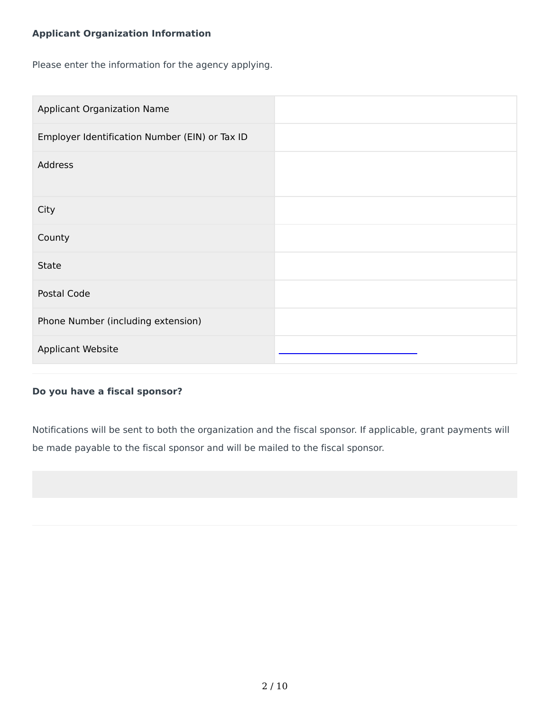### **Applicant Organization Information**

Please enter the information for the agency applying.

| <b>Applicant Organization Name</b>             |  |
|------------------------------------------------|--|
| Employer Identification Number (EIN) or Tax ID |  |
| Address                                        |  |
| City                                           |  |
| County                                         |  |
| State                                          |  |
| Postal Code                                    |  |
| Phone Number (including extension)             |  |
| Applicant Website                              |  |

#### **Do you have a fiscal sponsor?**

Notifications will be sent to both the organization and the fiscal sponsor. If applicable, grant payments will be made payable to the fiscal sponsor and will be mailed to the fiscal sponsor.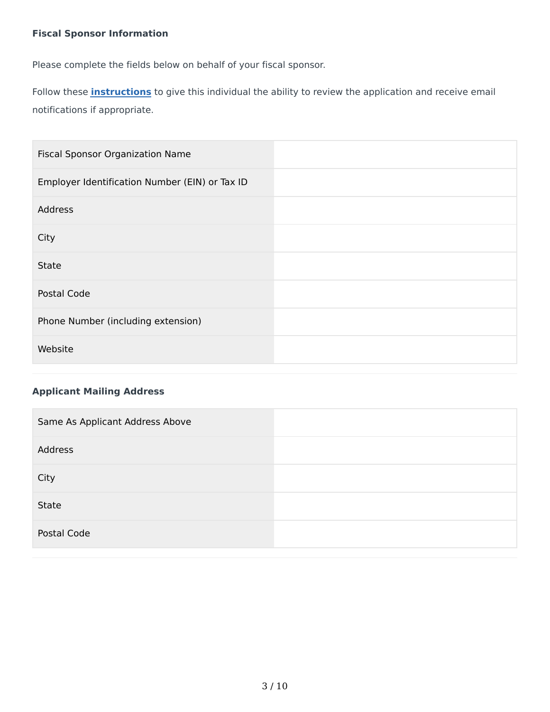### **Fiscal Sponsor Information**

Please complete the fields below on behalf of your fiscal sponsor.

Follow these **[instructions](https://gkccf.smapply.io/protected/resource/eyJoZnJlIjogMTAzNDQwNzMwLCAidnEiOiAxNDQ5Mzh9/)** to give this individual the ability to review the application and receive email notifications if appropriate.

| Fiscal Sponsor Organization Name               |  |
|------------------------------------------------|--|
| Employer Identification Number (EIN) or Tax ID |  |
| Address                                        |  |
| City                                           |  |
| <b>State</b>                                   |  |
| Postal Code                                    |  |
| Phone Number (including extension)             |  |
| Website                                        |  |

### **Applicant Mailing Address**

| Same As Applicant Address Above |  |
|---------------------------------|--|
| Address                         |  |
| City                            |  |
| State                           |  |
| Postal Code                     |  |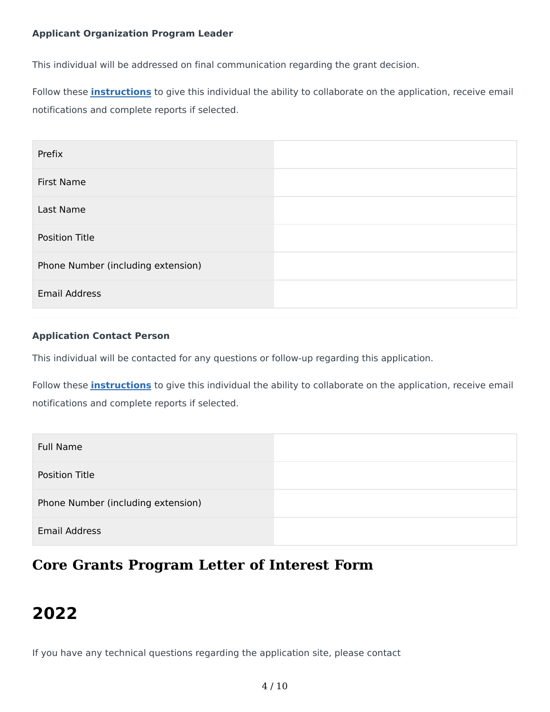#### **Applicant Organization Program Leader**

This individual will be addressed on final communication regarding the grant decision.

Follow these **[instructions](https://gkccf.smapply.io/protected/resource/eyJoZnJlIjogMTAzNDQwNzMwLCAidnEiOiAxNDQ5Mzh9/)** to give this individual the ability to collaborate on the application, receive email notifications and complete reports if selected.

| Prefix                             |  |
|------------------------------------|--|
| First Name                         |  |
| Last Name                          |  |
| Position Title                     |  |
| Phone Number (including extension) |  |
| <b>Email Address</b>               |  |

#### **Application Contact Person**

This individual will be contacted for any questions or follow-up regarding this application.

Follow these **[instructions](https://gkccf.smapply.io/protected/resource/eyJoZnJlIjogMTAzNDQwNzMwLCAidnEiOiAxNDQ5Mzh9/)** to give this individual the ability to collaborate on the application, receive email notifications and complete reports if selected.

| <b>Full Name</b>                   |  |
|------------------------------------|--|
| <b>Position Title</b>              |  |
| Phone Number (including extension) |  |
| <b>Email Address</b>               |  |

## **Core Grants Program Letter of Interest Form**

# **2022**

If you have any technical questions regarding the application site, please contact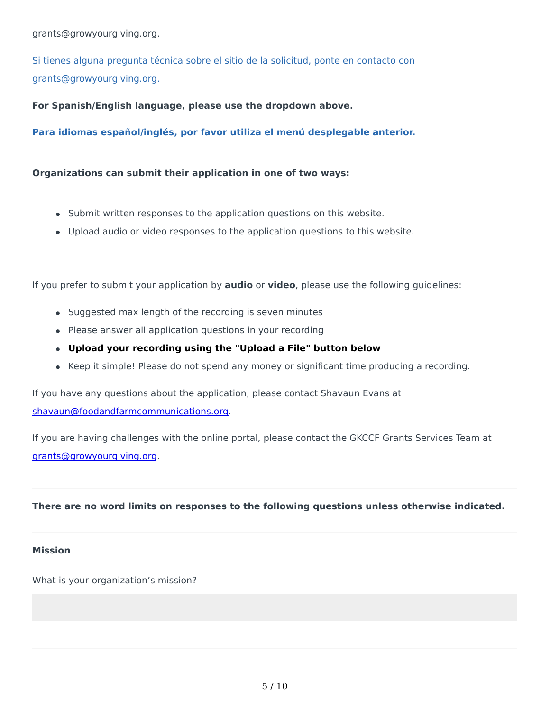Si tienes alguna pregunta técnica sobre el sitio de la solicitud, ponte en contacto con grants@growyourgiving.org.

For Spanish/English language, please use the dropdown above.

Para idiomas español/inglés, por favor utiliza el menú desplegable anterior.

#### **Organizations can submit their application in one of two ways:**

- Submit written responses to the application questions on this website.
- Upload audio or video responses to the application questions to this website.

If you prefer to submit your application by **audio** or video, please use the following guidelines:

- Suggested max length of the recording is seven minutes
- Please answer all application questions in your recording
- **•** Upload your recording using the "Upload a File" button below
- Keep it simple! Please do not spend any money or significant time producing a recording.

If you have any questions about the application, please contact Shavaun Evans at [shavaun@foodandfarmcommunications.org.](mailto:shavaun@foodandfarmcommunications.org)

If you are having challenges with the online portal, please contact the GKCCF Grants Services Team at [grants@growyourgiving.org.](mailto:grants@growyourgiving.org)

#### There are no word limits on responses to the following questions unless otherwise indicated.

#### **Mission**

What is your organization's mission?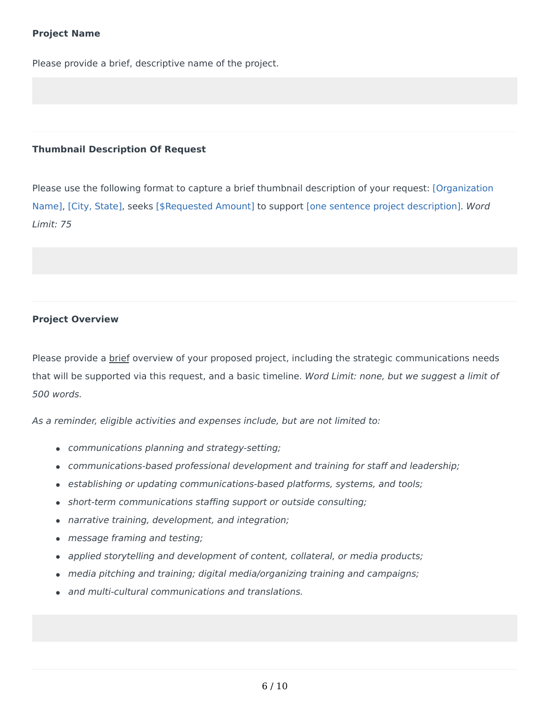#### **Project Name**

Please provide a brief, descriptive name of the project.

#### **Thumbnail Description Of Request**

Please use the following format to capture a brief thumbnail description of your request: [Organization Name], [City, State], seeks [\$Requested Amount] to support [one sentence project description]. Word Limit: 75

#### **Project Overview**

Please provide a brief overview of your proposed project, including the strategic communications needs that will be supported via this request, and a basic timeline. Word Limit: none, but we suggest a limit of 500 words.

As a reminder, eligible activities and expenses include, but are not limited to:

- communications planning and strategy-setting;
- communications-based professional development and training for staff and leadership;
- establishing or updating communications-based platforms, systems, and tools;
- short-term communications staffing support or outside consulting;
- narrative training, development, and integration;
- message framing and testing;
- applied storytelling and development of content, collateral, or media products;
- media pitching and training; digital media/organizing training and campaigns;
- and multi-cultural communications and translations.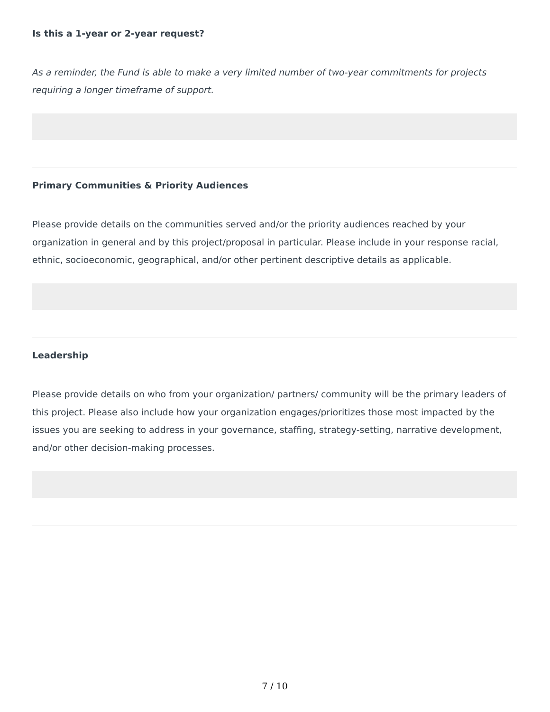#### **Is this a 1-year or 2-year request?**

As a reminder, the Fund is able to make a very limited number of two-year commitments for projects requiring a longer timeframe of support.

#### **Primary Communities & Priority Audiences**

Please provide details on the communities served and/or the priority audiences reached by your organization in general and by this project/proposal in particular. Please include in your response racial, ethnic, socioeconomic, geographical, and/or other pertinent descriptive details as applicable.

#### **Leadership**

Please provide details on who from your organization/ partners/ community will be the primary leaders of this project. Please also include how your organization engages/prioritizes those most impacted by the issues you are seeking to address in your governance, staffing, strategy-setting, narrative development, and/or other decision-making processes.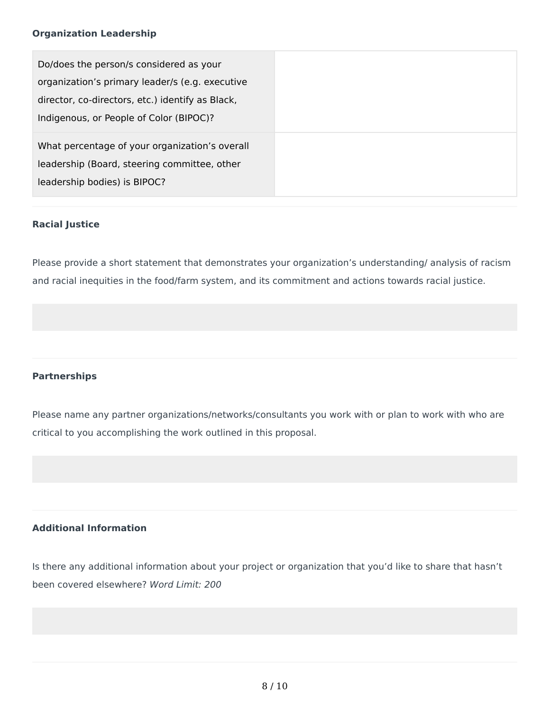#### **Organization Leadership**

#### **Racial Justice**

Please provide a short statement that demonstrates your organization's understanding/ analysis of racism and racial inequities in the food/farm system, and its commitment and actions towards racial justice.

#### **Partnerships**

Please name any partner organizations/networks/consultants you work with or plan to work with who are critical to you accomplishing the work outlined in this proposal.

#### **Additional Information**

Is there any additional information about your project or organization that you'd like to share that hasn't been covered elsewhere? Word Limit: 200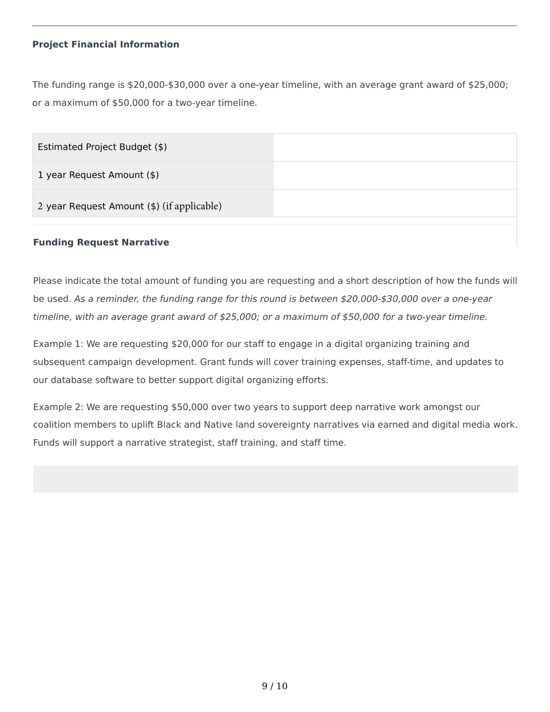#### **Project Financial Information**

The funding range is  $$20,000-$30,000$  over a one-year timeline, with an average grant award of  $$25,000$ ; or a maximum of \$50,000 for a two-year timeline.

| Estimated Project Budget (\$)              |  |
|--------------------------------------------|--|
| 1 year Request Amount (\$)                 |  |
| 2 year Request Amount (\$) (if applicable) |  |
|                                            |  |

#### **Funding Request Narrative**

Please indicate the total amount of funding you are requesting and a short description of how the funds will be used. As a reminder, the funding range for this round is between \$20,000-\$30,000 over a one-year timeline, with an average grant award of  $$25,000$ ; or a maximum of \$50,000 for a two-year timeline.

Example 1: We are requesting \$20,000 for our staff to engage in a digital organizing training and subsequent campaign development. Grant funds will cover training expenses, staff-time, and updates to our database software to better support digital organizing efforts.

Example 2: We are requesting \$50,000 over two years to support deep narrative work amongst our coalition members to uplift Black and Native land sovereignty narratives via earned and digital media work. Funds will support a narrative strategist, staff training, and staff time.